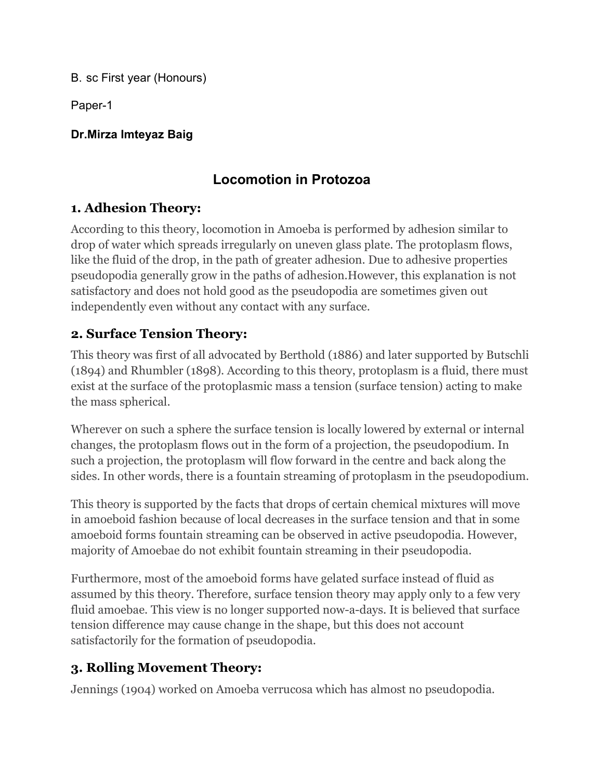B. sc First year (Honours)

Paper-1

#### **Dr.Mirza Imteyaz Baig**

# **Locomotion in Protozoa**

## **1. Adhesion Theory:**

According to this theory, locomotion in Amoeba is performed by adhesion similar to drop of water which spreads irregularly on uneven glass plate. The protoplasm flows, like the fluid of the drop, in the path of greater adhesion. Due to adhesive properties pseudopodia generally grow in the paths of [adhesion.However,](https://cdn.biologydiscussion.com/wp-content/uploads/2016/04/clip_image013-4.jpg) this explanation is not satisfactory and does not hold good as the pseudopodia are sometimes given out independently even without any contact with any surface.

## **2. Surface Tension Theory:**

This theory was first of all advocated by Berthold (1886) and later supported by Butschli (1894) and Rhumbler (1898). According to this theory, protoplasm is a fluid, there must exist at the surface of the protoplasmic mass a tension (surface tension) acting to make the mass spherical.

Wherever on such a sphere the surface tension is locally lowered by external or internal changes, the protoplasm flows out in the form of a projection, the pseudopodium. In such a projection, the protoplasm will flow forward in the centre and back along the sides. In other words, there is a fountain streaming of protoplasm in the pseudopodium.

This theory is supported by the facts that drops of certain chemical mixtures will move in amoeboid fashion because of local decreases in the surface tension and that in some amoeboid forms fountain streaming can be observed in active pseudopodia. However, majority of Amoebae do not exhibit fountain streaming in their pseudopodia.

Furthermore, most of the amoeboid forms have gelated surface instead of fluid as assumed by this theory. Therefore, surface tension theory may apply only to a few very fluid amoebae. This view is no longer supported now-a-days. It is believed that surface tension difference may cause change in the shape, but this does not account satisfactorily for the formation of pseudopodia.

## **3. Rolling Movement Theory:**

Jennings (1904) worked on Amoeba verrucosa which has almost no pseudopodia.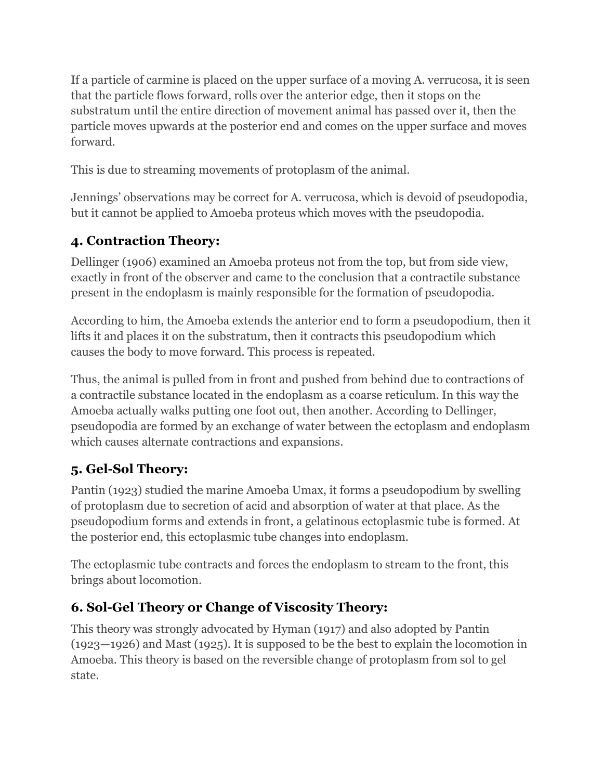If a particle of carmine is placed on the upper surface of a moving A, verrucosa, it is seen that the particle flows forward, rolls over the anterior edge, then it stops on the substratum until the entire direction of movement animal has passed over it, then the particle moves upwards at the posterior end and comes on the upper surface and moves forward.

This is due to streaming movements of protoplasm of the animal.

Jennings' observations may be correct for A. verrucosa, which is devoid of pseudopodia, but it cannot be applied to Amoeba proteus which moves with the pseudopodia.

## **4. Contraction Theory:**

Dellinger (1906) examined an Amoeba proteus not from the top, but from side view, exactly in front of the observer and came to the conclusion that a contractile substance present in the endoplasm is mainly responsible for the formation of pseudopodia.

According to him, the Amoeba extends the anterior end to form a pseudopodium, then it lifts it and places it on the substratum, then it contracts this [pseudopodium](https://cdn.biologydiscussion.com/wp-content/uploads/2016/04/clip_image013-4.jpg) which causes the body to move forward. This process is repeated.

Thus, the animal is pulled from in front and pushed from behind due to contractions of a contractile substance located in the endoplasm as a coarse reticulum. In this way the Amoeba actually walks putting one foot out, then another. According to Dellinger, pseudopodia are formed by an exchange of water between the ectoplasm and endoplasm which causes alternate contractions and expansions.

## **5. Gel-Sol Theory:**

Pantin (1923) studied the marine Amoeba Umax, it forms a pseudopodium by swelling of protoplasm due to secretion of acid and absorption of water at that place. As the pseudopodium forms and extends in front, a gelatinous ectoplasmic tube isformed. At the posterior end, this ectoplasmic tube changes into endoplasm.

The ectoplasmic tube contracts and forces the endoplasm to stream to the front, this brings about locomotion.

## **6. Sol-Gel Theory or Change of Viscosity Theory:**

This theory was strongly advocated by Hyman (1917) and also adopted by Pantin  $(1923-1926)$  and Mast  $(1925)$ . It is supposed to be the best to explain the locomotion in Amoeba. This theory is based on the reversible change of protoplasm from sol to gel state.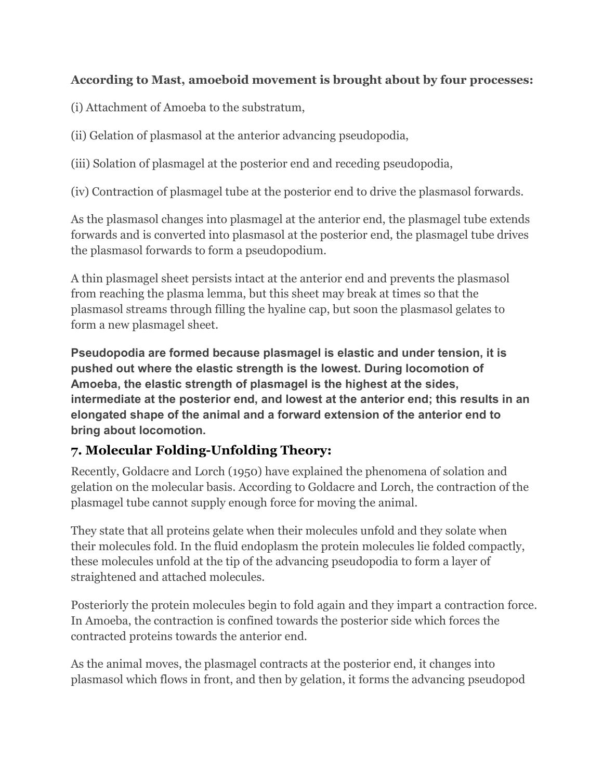#### **According to Mast, amoeboid movement is brought about by four processes:**

(i) Attachment of Amoeba to the substratum,

(ii) Gelation of plasmasol at the anterior advancing pseudopodia,

(iii) Solation of plasmagelat the posterior end and receding pseudopodia,

(iv) Contraction of plasmagel tube at the posterior end to drive the plasmasol forwards.

As the plasmasol changes into plasmagel at the anterior end, the plasmagel tube extends forwards and is converted into plasmasol at the posterior end, the plasmagel tube drives the plasmasol forwards to form a pseudopodium.

A thin plasmagel sheet persists intact at the anterior end and prevents the plasmasol from reaching the plasma lemma, but this sheet may break at times so that the plasmasol streams through filling the hyaline cap, but soon the plasmasol gelates to form a new plasmagel sheet.

**Pseudopodia are formed because plasmagel is elastic and under tension, it is pushed out where the elastic strength is the lowest. During locomotion of Amoeba, the elastic strength of plasmagel is the highest at the sides, intermediate at the posterior end, and lowest at the anterior end; this results in an elongated shape of the animal and a forward extension of the anterior end to bring about locomotion.**

## **7. Molecular Folding-Unfolding Theory:**

Recently, Goldacre and Lorch (1950) have explained the phenomena of solation and gelation on the molecular basis. According to Goldacre and Lorch, the contraction of the plasmagel tube cannot supply enough force for moving the animal.

They state that all proteins gelate when their molecules unfold and they solate when their molecules fold. In the fluid endoplasm the protein molecules lie folded compactly, these molecules unfold at the tip of the advancing pseudopodia to form a layer of straightened and attached molecules.

Posteriorly the protein molecules begin to fold again and they impart a contraction force. In Amoeba, the contraction is confined towards the posterior side which forces the contracted proteins towards the anterior end.

As the animal moves, the plasmagel contracts at the posterior end, it changes into plasmasol which flows in front, and then by gelation, it forms the advancing pseudopod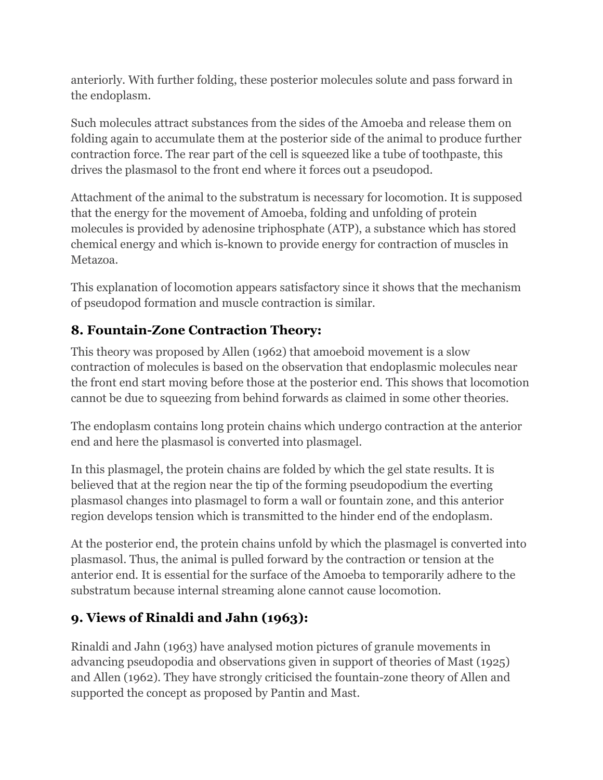anteriorly. With further folding, these posterior molecules solute and pass forward in the endoplasm.

Such molecules attract substances from the sides of the Amoeba and release them on folding again to accumulate them at the posterior side of the animal to produce further contraction force. The rear part of the cell is squeezed like a tube of toothpaste, this drives the plasmasol to the front end where it forces out a pseudopod.

Attachment of the animal to the substratum is necessary for locomotion. It is supposed that the energy for the movement of Amoeba, folding and unfolding of protein molecules is provided by adenosine triphosphate (ATP), a substance which has stored chemical energy and which is-known to provide energy for contraction of muscles in Metazoa.

This explanation of locomotion appears satisfactory since it shows that the mechanism of pseudopod formation and muscle contraction is similar.

## **8. [Fountain-Zone](https://cdn.biologydiscussion.com/wp-content/uploads/2016/04/clip_image013-4.jpg) Contraction Theory:**

This theory was proposed by Allen (1962) that amoeboid movement is a slow contraction of molecules is based on the observation that endoplasmic molecules near the front end start moving before those at the posterior end. This shows that locomotion cannot be due to squeezing from behind forwards as claimed in some other theories.

The endoplasm contains long protein chains which undergo contraction at the anterior end and here the plasmasol is converted into plasmagel.

In this plasmagel, the protein chains are folded by which the gel state results. It is believed that at the region near the tip of the forming pseudopodium the everting plasmasol changes into plasmagel to form a wall or fountain zone, and this anterior region develops tension which is transmitted to the hinder end of the endoplasm.

At the posterior end, the protein chains unfold by which the plasmagel is converted into plasmasol. Thus, the animal is pulled forward by the contraction or tension at the anterior end. It is essential for the surface of the Amoeba to temporarily adhere to the substratum because internal streaming alone cannot cause locomotion.

## **9. Views of Rinaldi and Jahn (1963):**

Rinaldi and Jahn (1963) have analysed motion pictures of granule movements in advancing pseudopodia and observations given in support of theories of Mast (1925) and Allen (1962). They have strongly criticised the fountain-zone theory of Allen and supported the concept as proposed by Pantin and Mast.